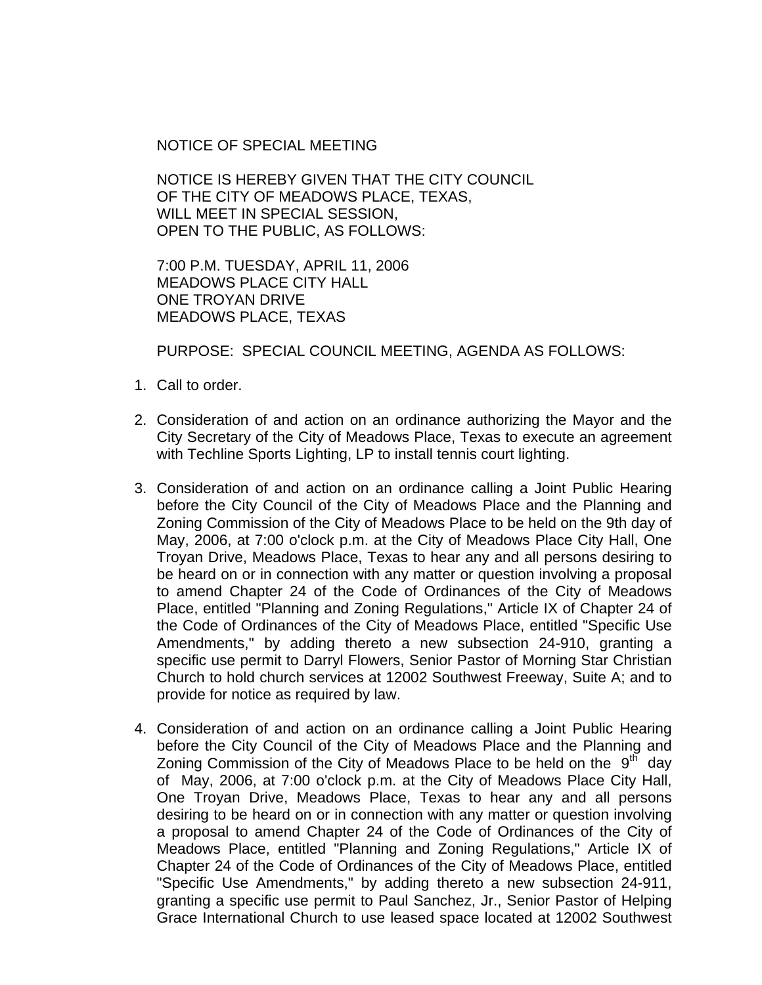NOTICE OF SPECIAL MEETING

NOTICE IS HEREBY GIVEN THAT THE CITY COUNCIL OF THE CITY OF MEADOWS PLACE, TEXAS, WILL MEET IN SPECIAL SESSION, OPEN TO THE PUBLIC, AS FOLLOWS:

7:00 P.M. TUESDAY, APRIL 11, 2006 MEADOWS PLACE CITY HALL ONE TROYAN DRIVE MEADOWS PLACE, TEXAS

PURPOSE: SPECIAL COUNCIL MEETING, AGENDA AS FOLLOWS:

- 1. Call to order.
- 2. Consideration of and action on an ordinance authorizing the Mayor and the City Secretary of the City of Meadows Place, Texas to execute an agreement with Techline Sports Lighting, LP to install tennis court lighting.
- 3. Consideration of and action on an ordinance calling a Joint Public Hearing before the City Council of the City of Meadows Place and the Planning and Zoning Commission of the City of Meadows Place to be held on the 9th day of May, 2006, at 7:00 o'clock p.m. at the City of Meadows Place City Hall, One Troyan Drive, Meadows Place, Texas to hear any and all persons desiring to be heard on or in connection with any matter or question involving a proposal to amend Chapter 24 of the Code of Ordinances of the City of Meadows Place, entitled "Planning and Zoning Regulations," Article IX of Chapter 24 of the Code of Ordinances of the City of Meadows Place, entitled "Specific Use Amendments," by adding thereto a new subsection 24-910, granting a specific use permit to Darryl Flowers, Senior Pastor of Morning Star Christian Church to hold church services at 12002 Southwest Freeway, Suite A; and to provide for notice as required by law.
- 4. Consideration of and action on an ordinance calling a Joint Public Hearing before the City Council of the City of Meadows Place and the Planning and Zoning Commission of the City of Meadows Place to be held on the  $9^{t\bar{h}}$  day of May, 2006, at 7:00 o'clock p.m. at the City of Meadows Place City Hall, One Troyan Drive, Meadows Place, Texas to hear any and all persons desiring to be heard on or in connection with any matter or question involving a proposal to amend Chapter 24 of the Code of Ordinances of the City of Meadows Place, entitled "Planning and Zoning Regulations," Article IX of Chapter 24 of the Code of Ordinances of the City of Meadows Place, entitled "Specific Use Amendments," by adding thereto a new subsection 24-911, granting a specific use permit to Paul Sanchez, Jr., Senior Pastor of Helping Grace International Church to use leased space located at 12002 Southwest